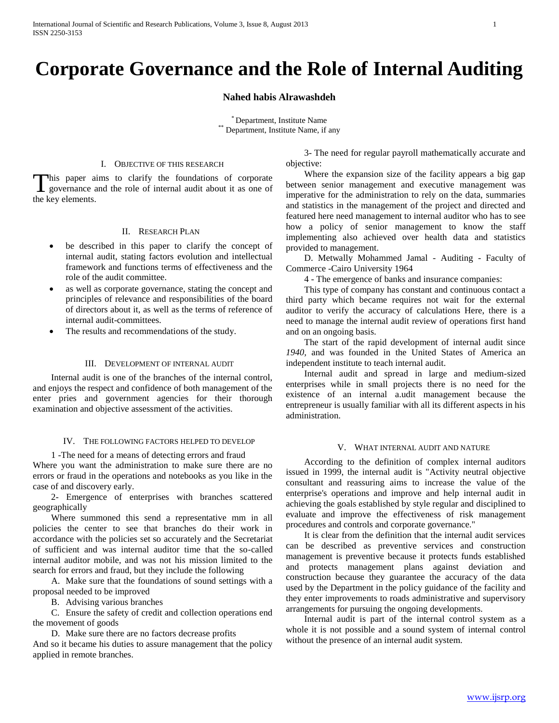# **Corporate Governance and the Role of Internal Auditing**

#### **Nahed habis Alrawashdeh**

\* Department, Institute Name \*\* Department, Institute Name, if any

#### I. OBJECTIVE OF THIS RESEARCH

This paper aims to clarify the foundations of corporate governance and the role of internal audit about it as one of This paper a<br>the key elements.

#### II. RESEARCH PLAN

- be described in this paper to clarify the concept of internal audit, stating factors evolution and intellectual framework and functions terms of effectiveness and the role of the audit committee.
- as well as corporate governance, stating the concept and principles of relevance and responsibilities of the board of directors about it, as well as the terms of reference of internal audit-committees.
- The results and recommendations of the study.

#### III. DEVELOPMENT OF INTERNAL AUDIT

 Internal audit is one of the branches of the internal control, and enjoys the respect and confidence of both management of the enter pries and government agencies for their thorough examination and objective assessment of the activities.

#### IV. THE FOLLOWING FACTORS HELPED TO DEVELOP

 1 -The need for a means of detecting errors and fraud Where you want the administration to make sure there are no errors or fraud in the operations and notebooks as you like in the case of and discovery early.

 2- Emergence of enterprises with branches scattered geographically

 Where summoned this send a representative mm in all policies the center to see that branches do their work in accordance with the policies set so accurately and the Secretariat of sufficient and was internal auditor time that the so-called internal auditor mobile, and was not his mission limited to the search for errors and fraud, but they include the following

 A. Make sure that the foundations of sound settings with a proposal needed to be improved

B. Advising various branches

 C. Ensure the safety of credit and collection operations end the movement of goods

D. Make sure there are no factors decrease profits

And so it became his duties to assure management that the policy applied in remote branches.

 3- The need for regular payroll mathematically accurate and objective:

 Where the expansion size of the facility appears a big gap between senior management and executive management was imperative for the administration to rely on the data, summaries and statistics in the management of the project and directed and featured here need management to internal auditor who has to see how a policy of senior management to know the staff implementing also achieved over health data and statistics provided to management.

 D. Metwally Mohammed Jamal - Auditing - Faculty of Commerce -Cairo University 1964

4 - The emergence of banks and insurance companies:

 This type of company has constant and continuous contact a third party which became requires not wait for the external auditor to verify the accuracy of calculations Here, there is a need to manage the internal audit review of operations first hand and on an ongoing basis.

 The start of the rapid development of internal audit since *1940,* and was founded in the United States of America an independent institute to teach internal audit.

 Internal audit and spread in large and medium-sized enterprises while in small projects there is no need for the existence of an internal a.udit management because the entrepreneur is usually familiar with all its different aspects in his administration.

# V. WHAT INTERNAL AUDIT AND NATURE

 According to the definition of complex internal auditors issued in 1999, the internal audit is "Activity neutral objective consultant and reassuring aims to increase the value of the enterprise's operations and improve and help internal audit in achieving the goals established by style regular and disciplined to evaluate and improve the effectiveness of risk management procedures and controls and corporate governance."

 It is clear from the definition that the internal audit services can be described as preventive services and construction management is preventive because it protects funds established and protects management plans against deviation and construction because they guarantee the accuracy of the data used by the Department in the policy guidance of the facility and they enter improvements to roads administrative and supervisory arrangements for pursuing the ongoing developments.

 Internal audit is part of the internal control system as a whole it is not possible and a sound system of internal control without the presence of an internal audit system.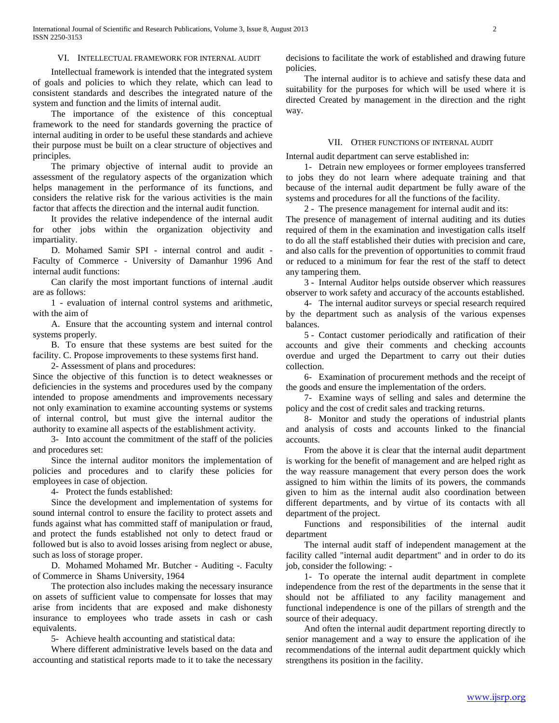#### VI. INTELLECTUAL FRAMEWORK FOR INTERNAL AUDIT

 Intellectual framework is intended that the integrated system of goals and policies to which they relate, which can lead to consistent standards and describes the integrated nature of the system and function and the limits of internal audit.

 The importance of the existence of this conceptual framework to the need for standards governing the practice of internal auditing in order to be useful these standards and achieve their purpose must be built on a clear structure of objectives and principles.

 The primary objective of internal audit to provide an assessment of the regulatory aspects of the organization which helps management in the performance of its functions, and considers the relative risk for the various activities is the main factor that affects the direction and the internal audit function.

 It provides the relative independence of the internal audit for other jobs within the organization objectivity and impartiality.

 D. Mohamed Samir SPI - internal control and audit - Faculty of Commerce - University of Damanhur 1996 And internal audit functions:

 Can clarify the most important functions of internal .audit are as follows:

 1 - evaluation of internal control systems and arithmetic, with the aim of

 A. Ensure that the accounting system and internal control systems properly.

 B. To ensure that these systems are best suited for the facility. C. Propose improvements to these systems first hand.

2- Assessment of plans and procedures:

Since the objective of this function is to detect weaknesses or deficiencies in the systems and procedures used by the company intended to propose amendments and improvements necessary not only examination to examine accounting systems or systems of internal control, but must give the internal auditor the authority to examine all aspects of the establishment activity.

 3- Into account the commitment of the staff of the policies and procedures set:

 Since the internal auditor monitors the implementation of policies and procedures and to clarify these policies for employees in case of objection.

4- Protect the funds established:

 Since the development and implementation of systems for sound internal control to ensure the facility to protect assets and funds against what has committed staff of manipulation or fraud, and protect the funds established not only to detect fraud or followed but is also to avoid losses arising from neglect or abuse, such as loss of storage proper.

D. Mohamed Mohamed Mr. Butcher - Auditing -. Faculty of Commerce in Shams University, 1964

 The protection also includes making the necessary insurance on assets of sufficient value to compensate for losses that may arise from incidents that are exposed and make dishonesty insurance to employees who trade assets in cash or cash equivalents.

5- Achieve health accounting and statistical data:

 Where different administrative levels based on the data and accounting and statistical reports made to it to take the necessary decisions to facilitate the work of established and drawing future policies.

 The internal auditor is to achieve and satisfy these data and suitability for the purposes for which will be used where it is directed Created by management in the direction and the right way.

#### VII. OTHER FUNCTIONS OF INTERNAL AUDIT

Internal audit department can serve established in:

 1- Detrain new employees or former employees transferred to jobs they do not learn where adequate training and that because of the internal audit department be fully aware of the systems and procedures for all the functions of the facility.

 2 - The presence management for internal audit and its: The presence of management of internal auditing and its duties required of them in the examination and investigation calls itself to do all the staff established their duties with precision and care, and also calls for the prevention of opportunities to commit fraud or reduced to a minimum for fear the rest of the staff to detect any tampering them.

 3 - Internal Auditor helps outside observer which reassures observer to work safety and accuracy of the accounts established.

 4- The internal auditor surveys or special research required by the department such as analysis of the various expenses balances.

 5 - Contact customer periodically and ratification of their accounts and give their comments and checking accounts overdue and urged the Department to carry out their duties collection.

 6- Examination of procurement methods and the receipt of the goods and ensure the implementation of the orders.

 7- Examine ways of selling and sales and determine the policy and the cost of credit sales and tracking returns.

 8- Monitor and study the operations of industrial plants and analysis of costs and accounts linked to the financial accounts.

 From the above it is clear that the internal audit department is working for the benefit of management and are helped right as the way reassure management that every person does the work assigned to him within the limits of its powers, the commands given to him as the internal audit also coordination between different departments, and by virtue of its contacts with all department of the project.

 Functions and responsibilities of the internal audit department

 The internal audit staff of independent management at the facility called "internal audit department" and in order to do its job, consider the following: -

 1- To operate the internal audit department in complete independence from the rest of the departments in the sense that it should not be affiliated to any facility management and functional independence is one of the pillars of strength and the source of their adequacy.

 And often the internal audit department reporting directly to senior management and a way to ensure the application of ihe recommendations of the internal audit department quickly which strengthens its position in the facility.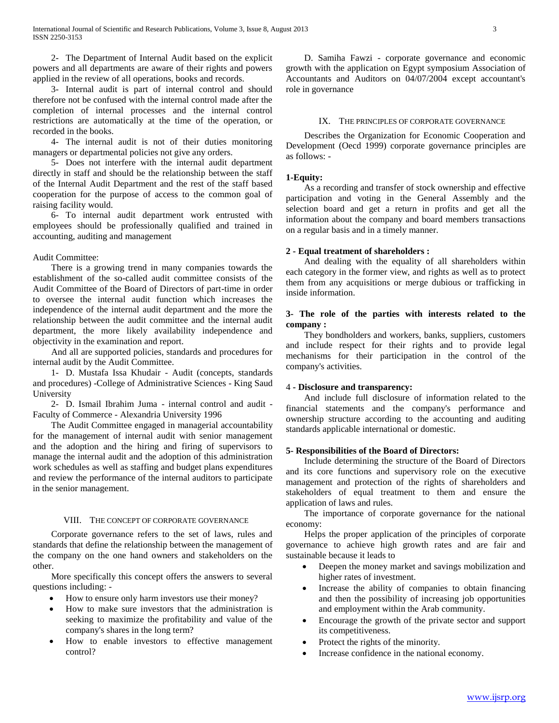2- The Department of Internal Audit based on the explicit powers and all departments are aware of their rights and powers applied in the review of all operations, books and records.

 3- Internal audit is part of internal control and should therefore not be confused with the internal control made after the completion of internal processes and the internal control restrictions are automatically at the time of the operation, or recorded in the books.

 4- The internal audit is not of their duties monitoring managers or departmental policies not give any orders.

 5- Does not interfere with the internal audit department directly in staff and should be the relationship between the staff of the Internal Audit Department and the rest of the staff based cooperation for the purpose of access to the common goal of raising facility would.

 6- To internal audit department work entrusted with employees should be professionally qualified and trained in accounting, auditing and management

# Audit Committee:

 There is a growing trend in many companies towards the establishment of the so-called audit committee consists of the Audit Committee of the Board of Directors of part-time in order to oversee the internal audit function which increases the independence of the internal audit department and the more the relationship between the audit committee and the internal audit department, the more likely availability independence and objectivity in the examination and report.

 And all are supported policies, standards and procedures for internal audit by the Audit Committee.

 1- D. Mustafa Issa Khudair - Audit (concepts, standards and procedures) -College of Administrative Sciences - King Saud University

 2- D. Ismail Ibrahim Juma - internal control and audit - Faculty of Commerce - Alexandria University 1996

 The Audit Committee engaged in managerial accountability for the management of internal audit with senior management and the adoption and the hiring and firing of supervisors to manage the internal audit and the adoption of this administration work schedules as well as staffing and budget plans expenditures and review the performance of the internal auditors to participate in the senior management.

# VIII. THE CONCEPT OF CORPORATE GOVERNANCE

 Corporate governance refers to the set of laws, rules and standards that define the relationship between the management of the company on the one hand owners and stakeholders on the other.

 More specifically this concept offers the answers to several questions including: -

- How to ensure only harm investors use their money?
- How to make sure investors that the administration is seeking to maximize the profitability and value of the company's shares in the long term?
- How to enable investors to effective management control?

 D. Samiha Fawzi - corporate governance and economic growth with the application on Egypt symposium Association of Accountants and Auditors on 04/07/2004 except accountant's role in governance

#### IX. THE PRINCIPLES OF CORPORATE GOVERNANCE

 Describes the Organization for Economic Cooperation and Development (Oecd 1999) corporate governance principles are as follows: -

# **1-Equity:**

 As a recording and transfer of stock ownership and effective participation and voting in the General Assembly and the selection board and get a return in profits and get all the information about the company and board members transactions on a regular basis and in a timely manner.

# **2 - Equal treatment of shareholders :**

 And dealing with the equality of all shareholders within each category in the former view, and rights as well as to protect them from any acquisitions or merge dubious or trafficking in inside information.

# **3- The role of the parties with interests related to the company :**

 They bondholders and workers, banks, suppliers, customers and include respect for their rights and to provide legal mechanisms for their participation in the control of the company's activities.

# 4 **- Disclosure and transparency:**

 And include full disclosure of information related to the financial statements and the company's performance and ownership structure according to the accounting and auditing standards applicable international or domestic.

# **5- Responsibilities of the Board of Directors:**

 Include determining the structure of the Board of Directors and its core functions and supervisory role on the executive management and protection of the rights of shareholders and stakeholders of equal treatment to them and ensure the application of laws and rules.

 The importance of corporate governance for the national economy:

 Helps the proper application of the principles of corporate governance to achieve high growth rates and are fair and sustainable because it leads to

- Deepen the money market and savings mobilization and higher rates of investment.
- Increase the ability of companies to obtain financing and then the possibility of increasing job opportunities and employment within the Arab community.
- Encourage the growth of the private sector and support its competitiveness.
- Protect the rights of the minority.
- Increase confidence in the national economy.